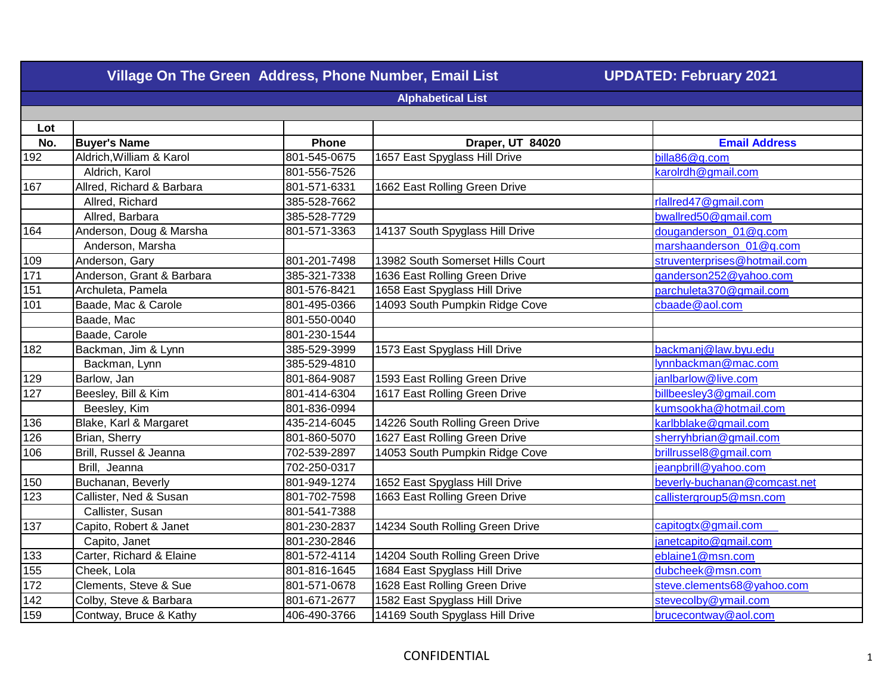| Village On The Green Address, Phone Number, Email List<br><b>UPDATED: February 2021</b> |                           |              |                                  |                              |  |
|-----------------------------------------------------------------------------------------|---------------------------|--------------|----------------------------------|------------------------------|--|
|                                                                                         | <b>Alphabetical List</b>  |              |                                  |                              |  |
|                                                                                         |                           |              |                                  |                              |  |
| Lot                                                                                     |                           |              |                                  |                              |  |
| No.                                                                                     | <b>Buyer's Name</b>       | Phone        | Draper, UT 84020                 | <b>Email Address</b>         |  |
| 192                                                                                     | Aldrich, William & Karol  | 801-545-0675 | 1657 East Spyglass Hill Drive    | billa86@q.com                |  |
|                                                                                         | Aldrich, Karol            | 801-556-7526 |                                  | karolrdh@gmail.com           |  |
| 167                                                                                     | Allred, Richard & Barbara | 801-571-6331 | 1662 East Rolling Green Drive    |                              |  |
|                                                                                         | Allred, Richard           | 385-528-7662 |                                  | rlallred47@gmail.com         |  |
|                                                                                         | Allred, Barbara           | 385-528-7729 |                                  | bwallred50@gmail.com         |  |
| 164                                                                                     | Anderson, Doug & Marsha   | 801-571-3363 | 14137 South Spyglass Hill Drive  | douganderson_01@q.com        |  |
|                                                                                         | Anderson, Marsha          |              |                                  | marshaanderson_01@q.com      |  |
| 109                                                                                     | Anderson, Gary            | 801-201-7498 | 13982 South Somerset Hills Court | struventerprises@hotmail.com |  |
| 171                                                                                     | Anderson, Grant & Barbara | 385-321-7338 | 1636 East Rolling Green Drive    | ganderson252@yahoo.com       |  |
| 151                                                                                     | Archuleta, Pamela         | 801-576-8421 | 1658 East Spyglass Hill Drive    | parchuleta370@gmail.com      |  |
| 101                                                                                     | Baade, Mac & Carole       | 801-495-0366 | 14093 South Pumpkin Ridge Cove   | cbaade@aol.com               |  |
|                                                                                         | Baade, Mac                | 801-550-0040 |                                  |                              |  |
|                                                                                         | Baade, Carole             | 801-230-1544 |                                  |                              |  |
| 182                                                                                     | Backman, Jim & Lynn       | 385-529-3999 | 1573 East Spyglass Hill Drive    | backmanj@law.byu.edu         |  |
|                                                                                         | Backman, Lynn             | 385-529-4810 |                                  | lynnbackman@mac.com          |  |
| $\sqrt{129}$                                                                            | Barlow, Jan               | 801-864-9087 | 1593 East Rolling Green Drive    | janlbarlow@live.com          |  |
| $\overline{127}$                                                                        | Beesley, Bill & Kim       | 801-414-6304 | 1617 East Rolling Green Drive    | billbeesley3@gmail.com       |  |
|                                                                                         | Beesley, Kim              | 801-836-0994 |                                  | kumsookha@hotmail.com        |  |
| 136                                                                                     | Blake, Karl & Margaret    | 435-214-6045 | 14226 South Rolling Green Drive  | karlbblake@gmail.com         |  |
| 126                                                                                     | Brian, Sherry             | 801-860-5070 | 1627 East Rolling Green Drive    | sherryhbrian@gmail.com       |  |
| 106                                                                                     | Brill, Russel & Jeanna    | 702-539-2897 | 14053 South Pumpkin Ridge Cove   | brillrussel8@gmail.com       |  |
|                                                                                         | Brill, Jeanna             | 702-250-0317 |                                  | jeanpbrill@yahoo.com         |  |
| 150                                                                                     | Buchanan, Beverly         | 801-949-1274 | 1652 East Spyglass Hill Drive    | beverly-buchanan@comcast.net |  |
| 123                                                                                     | Callister, Ned & Susan    | 801-702-7598 | 1663 East Rolling Green Drive    | callistergroup5@msn.com      |  |
|                                                                                         | Callister, Susan          | 801-541-7388 |                                  |                              |  |
| 137                                                                                     | Capito, Robert & Janet    | 801-230-2837 | 14234 South Rolling Green Drive  | capitogtx@gmail.com          |  |
|                                                                                         | Capito, Janet             | 801-230-2846 |                                  | janetcapito@gmail.com        |  |
| 133                                                                                     | Carter, Richard & Elaine  | 801-572-4114 | 14204 South Rolling Green Drive  | eblaine1@msn.com             |  |
| 155                                                                                     | Cheek, Lola               | 801-816-1645 | 1684 East Spyglass Hill Drive    | dubcheek@msn.com             |  |
| 172                                                                                     | Clements, Steve & Sue     | 801-571-0678 | 1628 East Rolling Green Drive    | steve.clements68@yahoo.com   |  |
| 142                                                                                     | Colby, Steve & Barbara    | 801-671-2677 | 1582 East Spyglass Hill Drive    | stevecolby@ymail.com         |  |
| 159                                                                                     | Contway, Bruce & Kathy    | 406-490-3766 | 14169 South Spyglass Hill Drive  | brucecontway@aol.com         |  |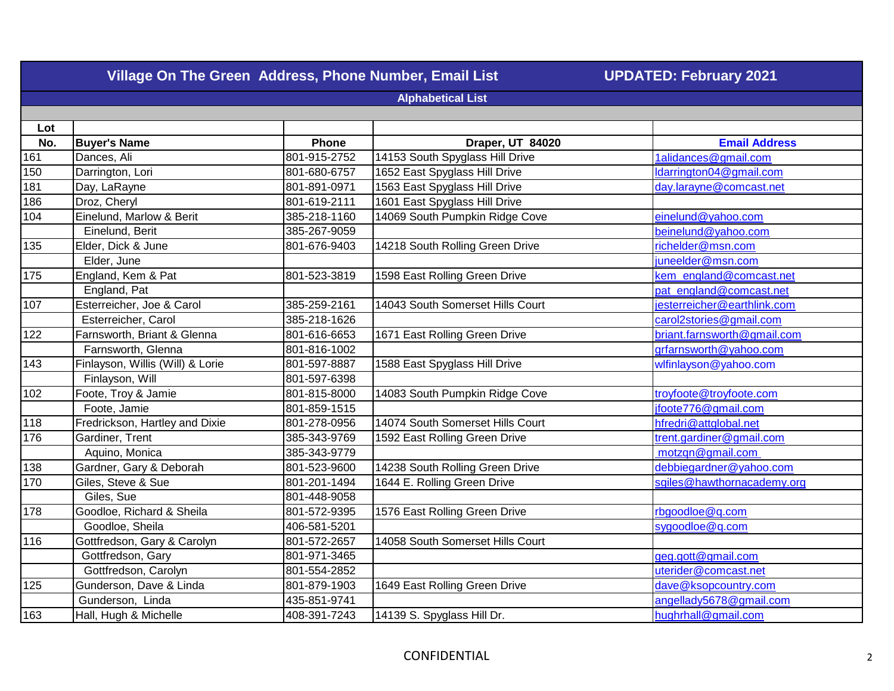| Village On The Green Address, Phone Number, Email List |                                  |              | <b>UPDATED: February 2021</b>    |                             |  |  |
|--------------------------------------------------------|----------------------------------|--------------|----------------------------------|-----------------------------|--|--|
| <b>Alphabetical List</b>                               |                                  |              |                                  |                             |  |  |
|                                                        |                                  |              |                                  |                             |  |  |
| Lot                                                    |                                  |              |                                  |                             |  |  |
| No.                                                    | <b>Buyer's Name</b>              | Phone        | Draper, UT 84020                 | <b>Email Address</b>        |  |  |
| 161                                                    | Dances, Ali                      | 801-915-2752 | 14153 South Spyglass Hill Drive  | 1alidances@gmail.com        |  |  |
| 150                                                    | Darrington, Lori                 | 801-680-6757 | 1652 East Spyglass Hill Drive    | Idarrington04@gmail.com     |  |  |
| 181                                                    | Day, LaRayne                     | 801-891-0971 | 1563 East Spyglass Hill Drive    | day.larayne@comcast.net     |  |  |
| 186                                                    | Droz, Cheryl                     | 801-619-2111 | 1601 East Spyglass Hill Drive    |                             |  |  |
| 104                                                    | Einelund, Marlow & Berit         | 385-218-1160 | 14069 South Pumpkin Ridge Cove   | einelund@yahoo.com          |  |  |
|                                                        | Einelund, Berit                  | 385-267-9059 |                                  | beinelund@yahoo.com         |  |  |
| 135                                                    | Elder, Dick & June               | 801-676-9403 | 14218 South Rolling Green Drive  | richelder@msn.com           |  |  |
|                                                        | Elder, June                      |              |                                  | juneelder@msn.com           |  |  |
| 175                                                    | England, Kem & Pat               | 801-523-3819 | 1598 East Rolling Green Drive    | kem england@comcast.net     |  |  |
|                                                        | England, Pat                     |              |                                  | pat england@comcast.net     |  |  |
| 107                                                    | Esterreicher, Joe & Carol        | 385-259-2161 | 14043 South Somerset Hills Court | jesterreicher@earthlink.com |  |  |
|                                                        | Esterreicher, Carol              | 385-218-1626 |                                  | carol2stories@gmail.com     |  |  |
| 122                                                    | Farnsworth, Briant & Glenna      | 801-616-6653 | 1671 East Rolling Green Drive    | briant.farnsworth@gmail.com |  |  |
|                                                        | Farnsworth, Glenna               | 801-816-1002 |                                  | grfarnsworth@yahoo.com      |  |  |
| 143                                                    | Finlayson, Willis (Will) & Lorie | 801-597-8887 | 1588 East Spyglass Hill Drive    | wlfinlayson@yahoo.com       |  |  |
|                                                        | Finlayson, Will                  | 801-597-6398 |                                  |                             |  |  |
| 102                                                    | Foote, Troy & Jamie              | 801-815-8000 | 14083 South Pumpkin Ridge Cove   | troyfoote@troyfoote.com     |  |  |
|                                                        | Foote, Jamie                     | 801-859-1515 |                                  | jfoote776@gmail.com         |  |  |
| 118<br>176                                             | Fredrickson, Hartley and Dixie   | 801-278-0956 | 14074 South Somerset Hills Court | hfredri@attglobal.net       |  |  |
|                                                        | Gardiner, Trent                  | 385-343-9769 | 1592 East Rolling Green Drive    | trent.gardiner@gmail.com    |  |  |
|                                                        | Aquino, Monica                   | 385-343-9779 |                                  | motzqn@gmail.com            |  |  |
| 138                                                    | Gardner, Gary & Deborah          | 801-523-9600 | 14238 South Rolling Green Drive  | debbiegardner@yahoo.com     |  |  |
| 170                                                    | Giles, Steve & Sue               | 801-201-1494 | 1644 E. Rolling Green Drive      | sgiles@hawthornacademy.org  |  |  |
|                                                        | Giles, Sue                       | 801-448-9058 |                                  |                             |  |  |
| 178                                                    | Goodloe, Richard & Sheila        | 801-572-9395 | 1576 East Rolling Green Drive    | rbgoodloe@q.com             |  |  |
|                                                        | Goodloe, Sheila                  | 406-581-5201 |                                  | sygoodloe@q.com             |  |  |
| 116                                                    | Gottfredson, Gary & Carolyn      | 801-572-2657 | 14058 South Somerset Hills Court |                             |  |  |
|                                                        | Gottfredson, Gary                | 801-971-3465 |                                  | geg.gott@gmail.com          |  |  |
|                                                        | Gottfredson, Carolyn             | 801-554-2852 |                                  | uterider@comcast.net        |  |  |
| 125                                                    | Gunderson, Dave & Linda          | 801-879-1903 | 1649 East Rolling Green Drive    | dave@ksopcountry.com        |  |  |
|                                                        | Gunderson, Linda                 | 435-851-9741 |                                  | angellady5678@gmail.com     |  |  |
| 163                                                    | Hall, Hugh & Michelle            | 408-391-7243 | 14139 S. Spyglass Hill Dr.       | hughrhall@gmail.com         |  |  |
|                                                        |                                  |              |                                  |                             |  |  |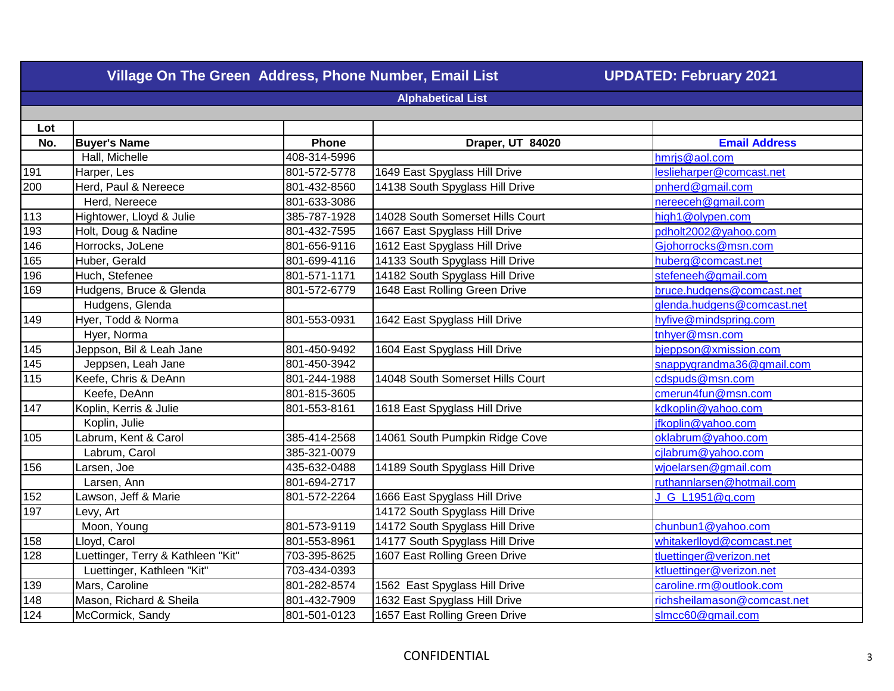| Village On The Green Address, Phone Number, Email List<br><b>UPDATED: February 2021</b> |                                    |              |                                  |                             |  |  |
|-----------------------------------------------------------------------------------------|------------------------------------|--------------|----------------------------------|-----------------------------|--|--|
|                                                                                         | <b>Alphabetical List</b>           |              |                                  |                             |  |  |
|                                                                                         |                                    |              |                                  |                             |  |  |
| Lot                                                                                     |                                    |              |                                  |                             |  |  |
| No.                                                                                     | <b>Buyer's Name</b>                | Phone        | Draper, UT 84020                 | <b>Email Address</b>        |  |  |
|                                                                                         | Hall, Michelle                     | 408-314-5996 |                                  | hmrjs@aol.com               |  |  |
| 191                                                                                     | Harper, Les                        | 801-572-5778 | 1649 East Spyglass Hill Drive    | leslieharper@comcast.net    |  |  |
| 200                                                                                     | Herd, Paul & Nereece               | 801-432-8560 | 14138 South Spyglass Hill Drive  | pnherd@gmail.com            |  |  |
|                                                                                         | Herd, Nereece                      | 801-633-3086 |                                  | nereeceh@gmail.com          |  |  |
| 113                                                                                     | Hightower, Lloyd & Julie           | 385-787-1928 | 14028 South Somerset Hills Court | high1@olypen.com            |  |  |
| 193                                                                                     | Holt, Doug & Nadine                | 801-432-7595 | 1667 East Spyglass Hill Drive    | pdholt2002@yahoo.com        |  |  |
| 146                                                                                     | Horrocks, JoLene                   | 801-656-9116 | 1612 East Spyglass Hill Drive    | Gjohorrocks@msn.com         |  |  |
| 165                                                                                     | Huber, Gerald                      | 801-699-4116 | 14133 South Spyglass Hill Drive  | huberg@comcast.net          |  |  |
| 196                                                                                     | Huch, Stefenee                     | 801-571-1171 | 14182 South Spyglass Hill Drive  | stefeneeh@gmail.com         |  |  |
| 169                                                                                     | Hudgens, Bruce & Glenda            | 801-572-6779 | 1648 East Rolling Green Drive    | bruce.hudgens@comcast.net   |  |  |
|                                                                                         | Hudgens, Glenda                    |              |                                  | glenda.hudgens@comcast.net  |  |  |
| 149                                                                                     | Hyer, Todd & Norma                 | 801-553-0931 | 1642 East Spyglass Hill Drive    | hyfive@mindspring.com       |  |  |
|                                                                                         | Hyer, Norma                        |              |                                  | tnhyer@msn.com              |  |  |
| $\overline{145}$                                                                        | Jeppson, Bil & Leah Jane           | 801-450-9492 | 1604 East Spyglass Hill Drive    | bjeppson@xmission.com       |  |  |
| 145                                                                                     | Jeppsen, Leah Jane                 | 801-450-3942 |                                  | snappygrandma36@gmail.com   |  |  |
| 115                                                                                     | Keefe, Chris & DeAnn               | 801-244-1988 | 14048 South Somerset Hills Court | cdspuds@msn.com             |  |  |
|                                                                                         | Keefe, DeAnn                       | 801-815-3605 |                                  | cmerun4fun@msn.com          |  |  |
| 147                                                                                     | Koplin, Kerris & Julie             | 801-553-8161 | 1618 East Spyglass Hill Drive    | kdkoplin@yahoo.com          |  |  |
|                                                                                         | Koplin, Julie                      |              |                                  | jfkoplin@yahoo.com          |  |  |
| 105                                                                                     | Labrum, Kent & Carol               | 385-414-2568 | 14061 South Pumpkin Ridge Cove   | oklabrum@yahoo.com          |  |  |
|                                                                                         | Labrum, Carol                      | 385-321-0079 |                                  | cilabrum@yahoo.com          |  |  |
| 156                                                                                     | Larsen, Joe                        | 435-632-0488 | 14189 South Spyglass Hill Drive  | wjoelarsen@gmail.com        |  |  |
|                                                                                         | Larsen, Ann                        | 801-694-2717 |                                  | ruthannlarsen@hotmail.com   |  |  |
| 152                                                                                     | Lawson, Jeff & Marie               | 801-572-2264 | 1666 East Spyglass Hill Drive    | J G L1951@q.com             |  |  |
| $\overline{197}$                                                                        | Levy, Art                          |              | 14172 South Spyglass Hill Drive  |                             |  |  |
|                                                                                         | Moon, Young                        | 801-573-9119 | 14172 South Spyglass Hill Drive  | chunbun1@yahoo.com          |  |  |
| 158                                                                                     | Lloyd, Carol                       | 801-553-8961 | 14177 South Spyglass Hill Drive  | whitakerlloyd@comcast.net   |  |  |
| 128                                                                                     | Luettinger, Terry & Kathleen "Kit" | 703-395-8625 | 1607 East Rolling Green Drive    | tluettinger@verizon.net     |  |  |
|                                                                                         | Luettinger, Kathleen "Kit"         | 703-434-0393 |                                  | ktluettinger@verizon.net    |  |  |
| 139                                                                                     | Mars, Caroline                     | 801-282-8574 | 1562 East Spyglass Hill Drive    | caroline.rm@outlook.com     |  |  |
| $\sqrt{148}$                                                                            | Mason, Richard & Sheila            | 801-432-7909 | 1632 East Spyglass Hill Drive    | richsheilamason@comcast.net |  |  |
| 124                                                                                     | McCormick, Sandy                   | 801-501-0123 | 1657 East Rolling Green Drive    | slmcc60@gmail.com           |  |  |
|                                                                                         |                                    |              |                                  |                             |  |  |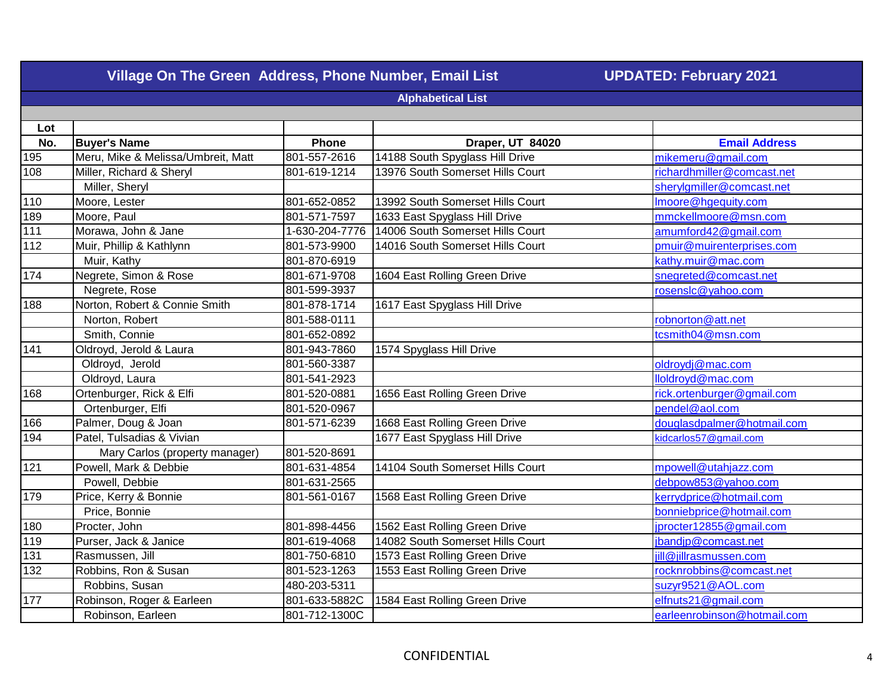|                          | Village On The Green Address, Phone Number, Email List | <b>UPDATED: February 2021</b> |                                  |                             |  |
|--------------------------|--------------------------------------------------------|-------------------------------|----------------------------------|-----------------------------|--|
| <b>Alphabetical List</b> |                                                        |                               |                                  |                             |  |
|                          |                                                        |                               |                                  |                             |  |
| Lot                      |                                                        |                               |                                  |                             |  |
| No.                      | <b>Buyer's Name</b>                                    | Phone                         | Draper, UT 84020                 | <b>Email Address</b>        |  |
| 195                      | Meru, Mike & Melissa/Umbreit, Matt                     | 801-557-2616                  | 14188 South Spyglass Hill Drive  | mikemeru@gmail.com          |  |
| 108                      | Miller, Richard & Sheryl                               | 801-619-1214                  | 13976 South Somerset Hills Court | richardhmiller@comcast.net  |  |
|                          | Miller, Sheryl                                         |                               |                                  | sherylgmiller@comcast.net   |  |
| 110                      | Moore, Lester                                          | 801-652-0852                  | 13992 South Somerset Hills Court | Imoore@hgequity.com         |  |
| 189                      | Moore, Paul                                            | 801-571-7597                  | 1633 East Spyglass Hill Drive    | mmckellmoore@msn.com        |  |
| 111                      | Morawa, John & Jane                                    | 1-630-204-7776                | 14006 South Somerset Hills Court | amumford42@gmail.com        |  |
| 112                      | Muir, Phillip & Kathlynn                               | 801-573-9900                  | 14016 South Somerset Hills Court | pmuir@muirenterprises.com   |  |
|                          | Muir, Kathy                                            | 801-870-6919                  |                                  | kathy.muir@mac.com          |  |
| 174                      | Negrete, Simon & Rose                                  | 801-671-9708                  | 1604 East Rolling Green Drive    | snegreted@comcast.net       |  |
|                          | Negrete, Rose                                          | 801-599-3937                  |                                  | rosenslc@yahoo.com          |  |
| 188                      | Norton, Robert & Connie Smith                          | 801-878-1714                  | 1617 East Spyglass Hill Drive    |                             |  |
|                          | Norton, Robert                                         | 801-588-0111                  |                                  | robnorton@att.net           |  |
|                          | Smith, Connie                                          | 801-652-0892                  |                                  | tcsmith04@msn.com           |  |
| 141                      | Oldroyd, Jerold & Laura                                | 801-943-7860                  | 1574 Spyglass Hill Drive         |                             |  |
|                          | Oldroyd, Jerold                                        | 801-560-3387                  |                                  | oldroydj@mac.com            |  |
|                          | Oldroyd, Laura                                         | 801-541-2923                  |                                  | lloldroyd@mac.com           |  |
| 168                      | Ortenburger, Rick & Elfi                               | 801-520-0881                  | 1656 East Rolling Green Drive    | rick.ortenburger@gmail.com  |  |
|                          | Ortenburger, Elfi                                      | 801-520-0967                  |                                  | pendel@aol.com              |  |
| 166                      | Palmer, Doug & Joan                                    | 801-571-6239                  | 1668 East Rolling Green Drive    | douglasdpalmer@hotmail.com  |  |
| 194                      | Patel, Tulsadias & Vivian                              |                               | 1677 East Spyglass Hill Drive    | kidcarlos57@gmail.com       |  |
|                          | Mary Carlos (property manager)                         | 801-520-8691                  |                                  |                             |  |
| $121$                    | Powell, Mark & Debbie                                  | 801-631-4854                  | 14104 South Somerset Hills Court | mpowell@utahjazz.com        |  |
|                          | Powell, Debbie                                         | 801-631-2565                  |                                  | debpow853@yahoo.com         |  |
| 179                      | Price, Kerry & Bonnie                                  | 801-561-0167                  | 1568 East Rolling Green Drive    | kerrydprice@hotmail.com     |  |
|                          | Price, Bonnie                                          |                               |                                  | bonniebprice@hotmail.com    |  |
| 180                      | Procter, John                                          | 801-898-4456                  | 1562 East Rolling Green Drive    | jprocter12855@gmail.com     |  |
| 119                      | Purser, Jack & Janice                                  | 801-619-4068                  | 14082 South Somerset Hills Court | jbandjp@comcast.net         |  |
| $\overline{131}$         | Rasmussen, Jill                                        | 801-750-6810                  | 1573 East Rolling Green Drive    | jill@jillrasmussen.com      |  |
| 132                      | Robbins, Ron & Susan                                   | 801-523-1263                  | 1553 East Rolling Green Drive    | rocknrobbins@comcast.net    |  |
|                          | Robbins, Susan                                         | 480-203-5311                  |                                  | suzyr9521@AOL.com           |  |
| 177                      | Robinson, Roger & Earleen                              | 801-633-5882C                 | 1584 East Rolling Green Drive    | elfnuts21@gmail.com         |  |
|                          | Robinson, Earleen                                      | 801-712-1300C                 |                                  | earleenrobinson@hotmail.com |  |
|                          |                                                        |                               |                                  |                             |  |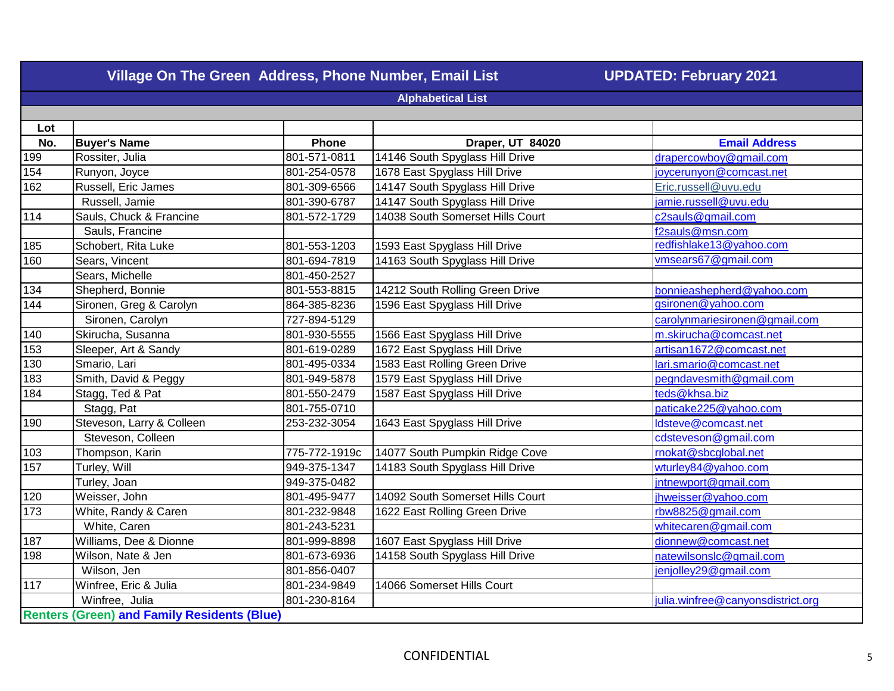| Village On The Green Address, Phone Number, Email List<br><b>UPDATED: February 2021</b> |                                                    |               |                                  |                                   |  |  |
|-----------------------------------------------------------------------------------------|----------------------------------------------------|---------------|----------------------------------|-----------------------------------|--|--|
|                                                                                         | <b>Alphabetical List</b>                           |               |                                  |                                   |  |  |
|                                                                                         |                                                    |               |                                  |                                   |  |  |
| Lot                                                                                     |                                                    |               |                                  |                                   |  |  |
| No.                                                                                     | <b>Buyer's Name</b>                                | Phone         | Draper, UT 84020                 | <b>Email Address</b>              |  |  |
| 199                                                                                     | Rossiter, Julia                                    | 801-571-0811  | 14146 South Spyglass Hill Drive  | drapercowboy@gmail.com            |  |  |
| 154                                                                                     | Runyon, Joyce                                      | 801-254-0578  | 1678 East Spyglass Hill Drive    | joycerunyon@comcast.net           |  |  |
| 162                                                                                     | Russell, Eric James                                | 801-309-6566  | 14147 South Spyglass Hill Drive  | Eric.russell@uvu.edu              |  |  |
|                                                                                         | Russell, Jamie                                     | 801-390-6787  | 14147 South Spyglass Hill Drive  | jamie.russell@uvu.edu             |  |  |
| 114                                                                                     | Sauls, Chuck & Francine                            | 801-572-1729  | 14038 South Somerset Hills Court | c2sauls@gmail.com                 |  |  |
|                                                                                         | Sauls, Francine                                    |               |                                  | f2sauls@msn.com                   |  |  |
| 185                                                                                     | Schobert, Rita Luke                                | 801-553-1203  | 1593 East Spyglass Hill Drive    | redfishlake13@yahoo.com           |  |  |
| 160                                                                                     | Sears, Vincent                                     | 801-694-7819  | 14163 South Spyglass Hill Drive  | vmsears67@gmail.com               |  |  |
|                                                                                         | Sears, Michelle                                    | 801-450-2527  |                                  |                                   |  |  |
| 134                                                                                     | Shepherd, Bonnie                                   | 801-553-8815  | 14212 South Rolling Green Drive  | bonnieashepherd@yahoo.com         |  |  |
| 144                                                                                     | Sironen, Greg & Carolyn                            | 864-385-8236  | 1596 East Spyglass Hill Drive    | gsironen@yahoo.com                |  |  |
|                                                                                         | Sironen, Carolyn                                   | 727-894-5129  |                                  | carolynmariesironen@gmail.com     |  |  |
| 140                                                                                     | Skirucha, Susanna                                  | 801-930-5555  | 1566 East Spyglass Hill Drive    | m.skirucha@comcast.net            |  |  |
| 153                                                                                     | Sleeper, Art & Sandy                               | 801-619-0289  | 1672 East Spyglass Hill Drive    | artisan1672@comcast.net           |  |  |
| 130                                                                                     | Smario, Lari                                       | 801-495-0334  | 1583 East Rolling Green Drive    | lari.smario@comcast.net           |  |  |
| 183                                                                                     | Smith, David & Peggy                               | 801-949-5878  | 1579 East Spyglass Hill Drive    | pegndavesmith@gmail.com           |  |  |
| 184                                                                                     | Stagg, Ted & Pat                                   | 801-550-2479  | 1587 East Spyglass Hill Drive    | teds@khsa.biz                     |  |  |
|                                                                                         | Stagg, Pat                                         | 801-755-0710  |                                  | paticake225@yahoo.com             |  |  |
| 190                                                                                     | Steveson, Larry & Colleen                          | 253-232-3054  | 1643 East Spyglass Hill Drive    | ldsteve@comcast.net               |  |  |
|                                                                                         | Steveson, Colleen                                  |               |                                  | cdsteveson@gmail.com              |  |  |
| 103                                                                                     | Thompson, Karin                                    | 775-772-1919c | 14077 South Pumpkin Ridge Cove   | rnokat@sbcglobal.net              |  |  |
| 157                                                                                     | Turley, Will                                       | 949-375-1347  | 14183 South Spyglass Hill Drive  | wturley84@yahoo.com               |  |  |
|                                                                                         | Turley, Joan                                       | 949-375-0482  |                                  | jntnewport@gmail.com              |  |  |
| 120                                                                                     | Weisser, John                                      | 801-495-9477  | 14092 South Somerset Hills Court | jhweisser@yahoo.com               |  |  |
| 173                                                                                     | White, Randy & Caren                               | 801-232-9848  | 1622 East Rolling Green Drive    | rbw8825@gmail.com                 |  |  |
|                                                                                         | White, Caren                                       | 801-243-5231  |                                  | whitecaren@gmail.com              |  |  |
| 187                                                                                     | Williams, Dee & Dionne                             | 801-999-8898  | 1607 East Spyglass Hill Drive    | dionnew@comcast.net               |  |  |
| 198                                                                                     | Wilson, Nate & Jen                                 | 801-673-6936  | 14158 South Spyglass Hill Drive  | natewilsonslc@gmail.com           |  |  |
|                                                                                         | Wilson, Jen                                        | 801-856-0407  |                                  | jenjolley29@gmail.com             |  |  |
| 117                                                                                     | Winfree, Eric & Julia                              | 801-234-9849  | 14066 Somerset Hills Court       |                                   |  |  |
|                                                                                         | Winfree, Julia                                     | 801-230-8164  |                                  | julia.winfree@canyonsdistrict.org |  |  |
|                                                                                         | <b>Renters (Green) and Family Residents (Blue)</b> |               |                                  |                                   |  |  |